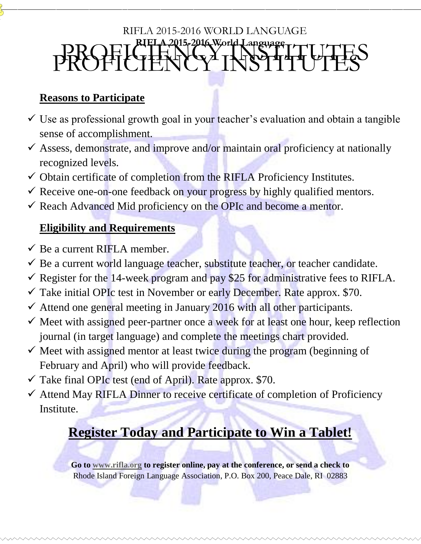#### **RIFLA 2015-2016 World Language** PROFICIENCY INSTITUTES RIFLA 2015-2016 WORLD LANGUAGE PROFICIENT CYTHERAP CONTROL

## **Reasons to Participate**

- $\checkmark$  Use as professional growth goal in your teacher's evaluation and obtain a tangible sense of accomplishment.
- $\checkmark$  Assess, demonstrate, and improve and/or maintain oral proficiency at nationally recognized levels.
- $\checkmark$  Obtain certificate of completion from the RIFLA Proficiency Institutes.
- $\checkmark$  Receive one-on-one feedback on your progress by highly qualified mentors.
- $\checkmark$  Reach Advanced Mid proficiency on the OPIc and become a mentor.

### **Eligibility and Requirements**

- $\checkmark$  Be a current RIFLA member.
- $\checkmark$  Be a current world language teacher, substitute teacher, or teacher candidate.
- Register for the 14-week program and pay \$25 for administrative fees to RIFLA.
- $\checkmark$  Take initial OPIc test in November or early December. Rate approx. \$70.
- $\checkmark$  Attend one general meeting in January 2016 with all other participants.
- $\checkmark$  Meet with assigned peer-partner once a week for at least one hour, keep reflection journal (in target language) and complete the meetings chart provided.
- $\checkmark$  Meet with assigned mentor at least twice during the program (beginning of February and April) who will provide feedback.
- $\checkmark$  Take final OPIc test (end of April). Rate approx. \$70.
- $\checkmark$  Attend May RIFLA Dinner to receive certificate of completion of Proficiency Institute.

# **Register Today and Participate to Win a Tablet!**

**Go to [www.rifla.org](http://www.rifla.org/) to register online, pay at the conference, or send a check to**  Rhode Island Foreign Language Association, P.O. Box 200, Peace Dale, RI 02883